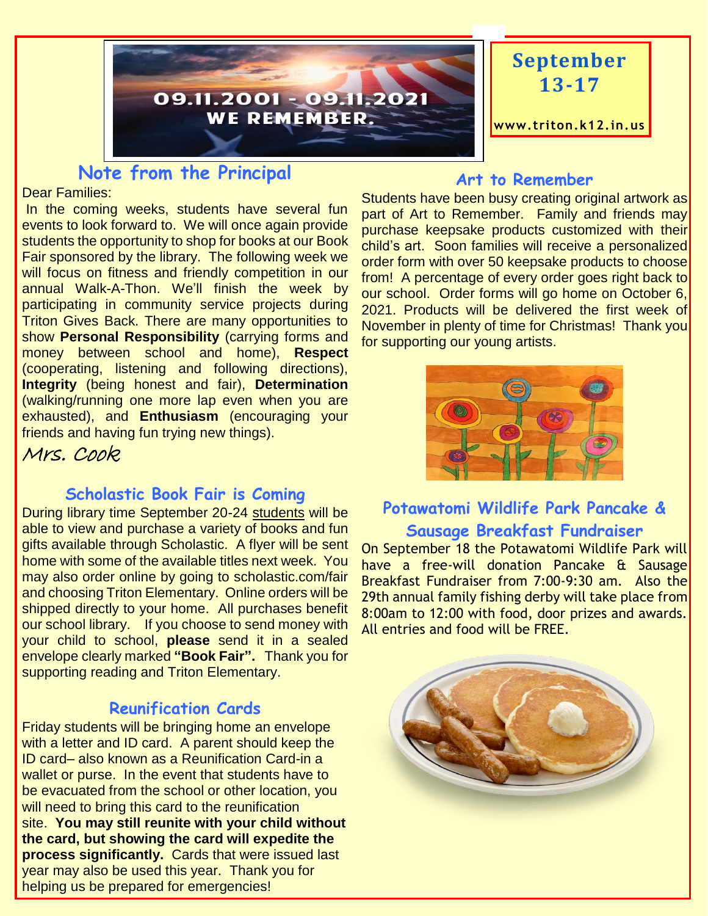

# **September 13-17**

**www.triton.k12.in.us**

# **Note from the Principal**

Dear Families:

In the coming weeks, students have several fun events to look forward to. We will once again provide students the opportunity to shop for books at our Book Fair sponsored by the library. The following week we will focus on fitness and friendly competition in our annual Walk-A-Thon. We'll finish the week by participating in community service projects during Triton Gives Back. There are many opportunities to show **Personal Responsibility** (carrying forms and money between school and home), **Respect** (cooperating, listening and following directions), **Integrity** (being honest and fair), **Determination**  (walking/running one more lap even when you are exhausted), and **Enthusiasm** (encouraging your friends and having fun trying new things).

Mrs. Cook

#### **Scholastic Book Fair is Coming**

During library time September 20-24 students will be able to view and purchase a variety of books and fun gifts available through Scholastic. A flyer will be sent home with some of the available titles next week. You may also order online by going to scholastic.com/fair and choosing Triton Elementary. Online orders will be shipped directly to your home. All purchases benefit our school library. If you choose to send money with your child to school, **please** send it in a sealed envelope clearly marked **"Book Fair".** Thank you for supporting reading and Triton Elementary.

#### **Reunification Cards**

Friday students will be bringing home an envelope with a letter and ID card. A parent should keep the ID card– also known as a Reunification Card-in a wallet or purse. In the event that students have to be evacuated from the school or other location, you will need to bring this card to the reunification site. **You may still reunite with your child without the card, but showing the card will expedite the process significantly.** Cards that were issued last year may also be used this year. Thank you for helping us be prepared for emergencies!

#### **Art to Remember**

Students have been busy creating original artwork as part of Art to Remember. Family and friends may purchase keepsake products customized with their child's art. Soon families will receive a personalized order form with over 50 keepsake products to choose from! A percentage of every order goes right back to our school. Order forms will go home on October 6, 2021. Products will be delivered the first week of November in plenty of time for Christmas! Thank you for supporting our young artists.



## **Potawatomi Wildlife Park Pancake & Sausage Breakfast Fundraiser**

On September 18 the Potawatomi Wildlife Park will have a free-will donation Pancake & Sausage Breakfast Fundraiser from 7:00-9:30 am. Also the 29th annual family fishing derby will take place from 8:00am to 12:00 with food, door prizes and awards. All entries and food will be FREE.